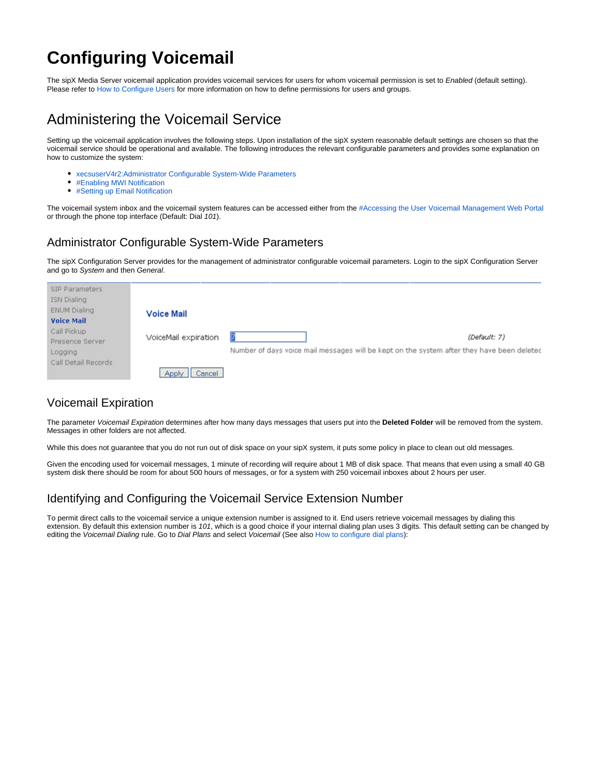# **Configuring Voicemail**

The sipX Media Server voicemail application provides voicemail services for users for whom voicemail permission is set to Enabled (default setting). Please refer to [How to Configure Users](https://wiki.ezuce.com/display/sipXcom/Configuring+Users#ConfiguringUsers-CreatingGroupsandUsers) for more information on how to define permissions for users and groups.

# Administering the Voicemail Service

Setting up the voicemail application involves the following steps. Upon installation of the sipX system reasonable default settings are chosen so that the voicemail service should be operational and available. The following introduces the relevant configurable parameters and provides some explanation on how to customize the system:

- [xecsuserV4r2:Administrator Configurable System-Wide Parameters](#page-0-0)
- [#Enabling MWI Notification](#page-5-0)
- [#Setting up Email Notification](#page-3-0)

The voicemail system inbox and the voicemail system features can be accessed either from the [#Accessing the User Voicemail Management Web Portal](#page-1-0) or through the phone top interface (Default: Dial 101).

#### <span id="page-0-0"></span>Administrator Configurable System-Wide Parameters

The sipX Configuration Server provides for the management of administrator configurable voicemail parameters. Login to the sipX Configuration Server and go to System and then General.

| SIP Parameters<br>ISN Dialing<br><b>ENUM Dialing</b><br><b>Voice Mail</b> | <b>Voice Mail</b>    |                                                                                                            |
|---------------------------------------------------------------------------|----------------------|------------------------------------------------------------------------------------------------------------|
| Call Pickup<br>Presence Server<br>Logging                                 | VoiceMail expiration | (Default: 7)<br>Number of days voice mail messages will be kept on the system after they have been deleted |
| Call Detail Records                                                       | Cancel<br>Apply      |                                                                                                            |

### Voicemail Expiration

The parameter Voicemail Expiration determines after how many days messages that users put into the **Deleted Folder** will be removed from the system. Messages in other folders are not affected.

While this does not guarantee that you do not run out of disk space on your sipX system, it puts some policy in place to clean out old messages.

Given the encoding used for voicemail messages, 1 minute of recording will require about 1 MB of disk space. That means that even using a small 40 GB system disk there should be room for about 500 hours of messages, or for a system with 250 voicemail inboxes about 2 hours per user.

### Identifying and Configuring the Voicemail Service Extension Number

To permit direct calls to the voicemail service a unique extension number is assigned to it. End users retrieve voicemail messages by dialing this extension. By default this extension number is 101, which is a good choice if your internal dialing plan uses 3 digits. This default setting can be changed by editing the Voicemail Dialing rule. Go to Dial Plans and select Voicemail (See also How to configure dial plans):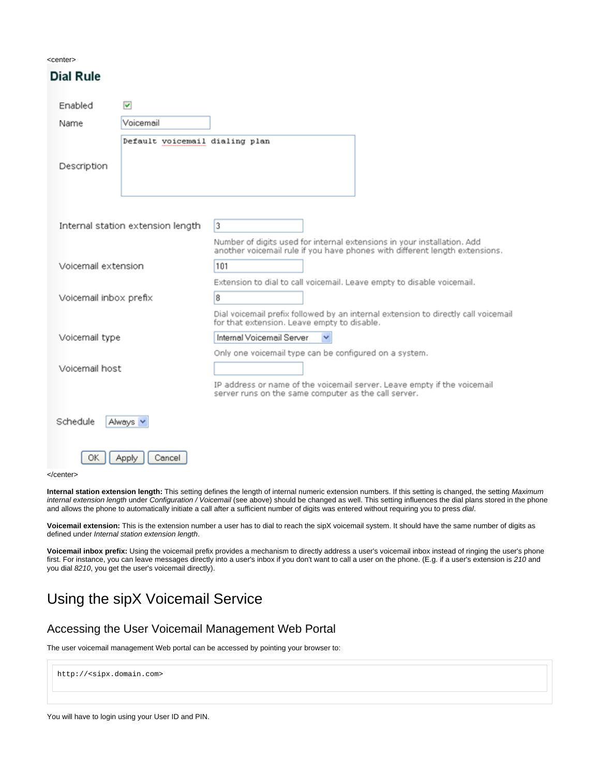| <center></center> |  |
|-------------------|--|
|-------------------|--|

**Dial Rule** 

| .                      |                                   |                                                                                                                                                        |  |  |
|------------------------|-----------------------------------|--------------------------------------------------------------------------------------------------------------------------------------------------------|--|--|
| Enabled                | $\blacktriangledown$              |                                                                                                                                                        |  |  |
| Name                   | Voicemail                         |                                                                                                                                                        |  |  |
|                        | Default voicemail dialing plan    |                                                                                                                                                        |  |  |
| Description            |                                   |                                                                                                                                                        |  |  |
|                        | Internal station extension length | 3                                                                                                                                                      |  |  |
|                        |                                   | Number of digits used for internal extensions in your installation. Add<br>another voicemail rule if you have phones with different length extensions. |  |  |
| Voicemail extension    |                                   | 101                                                                                                                                                    |  |  |
|                        |                                   | Extension to dial to call voicemail. Leave empty to disable voicemail.                                                                                 |  |  |
| Voicemail inbox prefix |                                   | 8                                                                                                                                                      |  |  |
|                        |                                   | Dial voicemail prefix followed by an internal extension to directly call voicemail<br>for that extension. Leave empty to disable.                      |  |  |
| Voicemail type         |                                   | Internal Voicemail Server                                                                                                                              |  |  |
|                        |                                   | Only one voicemail type can be configured on a system.                                                                                                 |  |  |
| Voicemail host         |                                   |                                                                                                                                                        |  |  |
|                        |                                   | IP address or name of the voicemail server. Leave empty if the voicemail<br>server runs on the same computer as the call server.                       |  |  |
| Schedule               | Always                            |                                                                                                                                                        |  |  |

</center>

OK

Apply

Cancel

**Internal station extension length:** This setting defines the length of internal numeric extension numbers. If this setting is changed, the setting Maximum internal extension length under Configuration / Voicemail (see above) should be changed as well. This setting influences the dial plans stored in the phone and allows the phone to automatically initiate a call after a sufficient number of digits was entered without requiring you to press dial.

**Voicemail extension:** This is the extension number a user has to dial to reach the sipX voicemail system. It should have the same number of digits as defined under Internal station extension length.

**Voicemail inbox prefix:** Using the voicemail prefix provides a mechanism to directly address a user's voicemail inbox instead of ringing the user's phone first. For instance, you can leave messages directly into a user's inbox if you don't want to call a user on the phone. (E.g. if a user's extension is 210 and you dial 8210, you get the user's voicemail directly).

# Using the sipX Voicemail Service

#### <span id="page-1-0"></span>Accessing the User Voicemail Management Web Portal

The user voicemail management Web portal can be accessed by pointing your browser to:

```
http://<sipx.domain.com>
```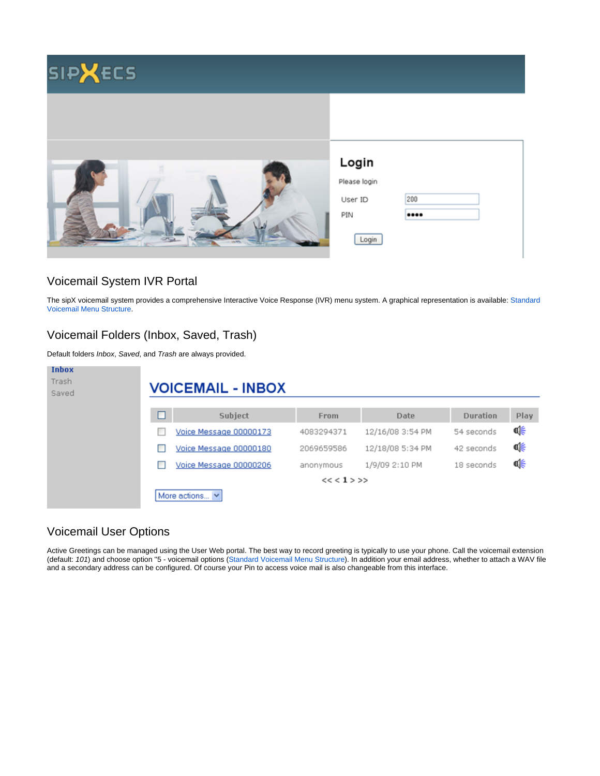

### Voicemail System IVR Portal

The sipX voicemail system provides a comprehensive Interactive Voice Response (IVR) menu system. A graphical representation is available: [Standard](https://wiki.ezuce.com/display/sipXcom/Standard+Voicemail+Menu+Structure)  [Voicemail Menu Structure.](https://wiki.ezuce.com/display/sipXcom/Standard+Voicemail+Menu+Structure)

### Voicemail Folders (Inbox, Saved, Trash)

Default folders Inbox, Saved, and Trash are always provided.

| <b>Inbox</b><br>Trash<br>Saved |   | <b>VOICEMAIL - INBOX</b> |             |                  |            |      |  |
|--------------------------------|---|--------------------------|-------------|------------------|------------|------|--|
|                                | п | Subject                  | From        | Date             | Duration   | Play |  |
|                                |   | Voice Message 00000173   | 4083294371  | 12/16/08 3:54 PM | 54 seconds | Φ€   |  |
|                                |   | Voice Message 00000180   | 2069659586  | 12/18/08 5:34 PM | 42 seconds | 喺    |  |
|                                |   | Voice Message 00000206   | anonymous   | 1/9/09 2:10 PM   | 18 seconds | Ф€   |  |
|                                |   |                          | $<< 1$ > >> |                  |            |      |  |
|                                |   | More actions $\vee$      |             |                  |            |      |  |

## Voicemail User Options

Active Greetings can be managed using the User Web portal. The best way to record greeting is typically to use your phone. Call the voicemail extension (default: 101) and choose option ''5 - voicemail options ([Standard Voicemail Menu Structure\)](https://wiki.ezuce.com/display/sipXcom/Standard+Voicemail+Menu+Structure). In addition your email address, whether to attach a WAV file and a secondary address can be configured. Of course your Pin to access voice mail is also changeable from this interface.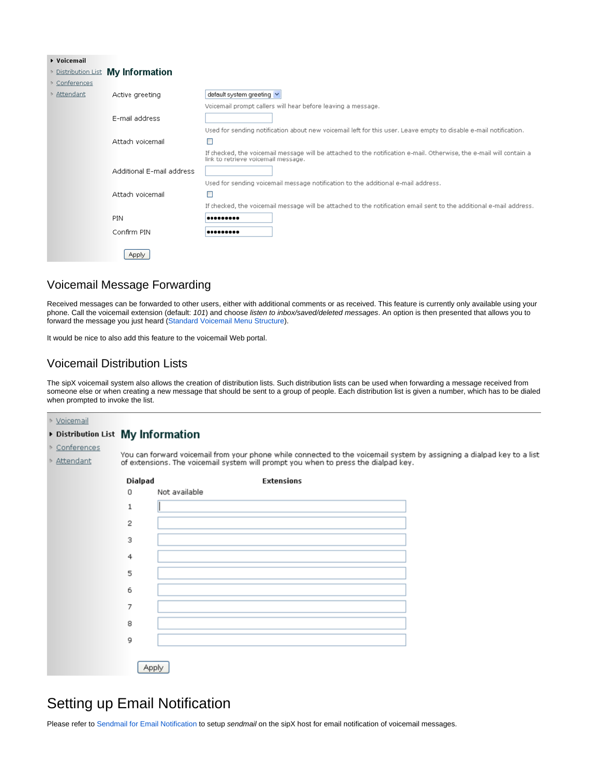| ▶ Voicemail      |                                  |                                                                                                                                                            |
|------------------|----------------------------------|------------------------------------------------------------------------------------------------------------------------------------------------------------|
|                  | Distribution List My Information |                                                                                                                                                            |
| Conferences      |                                  |                                                                                                                                                            |
| Attendant        | Active greeting                  | default system greeting v                                                                                                                                  |
|                  |                                  | Voicemail prompt callers will hear before leaving a message.                                                                                               |
|                  | E-mail address                   |                                                                                                                                                            |
|                  |                                  | Used for sending notification about new voicemail left for this user. Leave empty to disable e-mail notification.                                          |
|                  | Attach voicemail                 | ⊏                                                                                                                                                          |
|                  |                                  | If checked, the voicemail message will be attached to the notification e-mail. Otherwise, the e-mail will contain a<br>link to retrieve voicemail message. |
|                  | Additional E-mail address        |                                                                                                                                                            |
| Attach voicemail |                                  | Used for sending voicemail message notification to the additional e-mail address.                                                                          |
|                  |                                  |                                                                                                                                                            |
|                  |                                  | If checked, the voicemail message will be attached to the notification email sent to the additional e-mail address.                                        |
|                  | PIN                              |                                                                                                                                                            |
|                  | Confirm PIN                      |                                                                                                                                                            |
|                  | Apply                            |                                                                                                                                                            |

## Voicemail Message Forwarding

Received messages can be forwarded to other users, either with additional comments or as received. This feature is currently only available using your phone. Call the voicemail extension (default: 101) and choose listen to inbox/saved/deleted messages. An option is then presented that allows you to forward the message you just heard ([Standard Voicemail Menu Structure](https://wiki.ezuce.com/display/sipXcom/Standard+Voicemail+Menu+Structure)).

It would be nice to also add this feature to the voicemail Web portal.

### Voicemail Distribution Lists

The sipX voicemail system also allows the creation of distribution lists. Such distribution lists can be used when forwarding a message received from someone else or when creating a new message that should be sent to a group of people. Each distribution list is given a number, which has to be dialed when prompted to invoke the list.

▶ Voicemail

#### Distribution List My Information

- ▶ Conferences
- 

You can forward voicemail from your phone while connected to the voicemail system by assigning a dialpad key to a list Attendant of extensions. The voicemail system will prompt you when to press the dialpad key.



# <span id="page-3-0"></span>Setting up Email Notification

Please refer to Sendmail for Email Notification to setup sendmail on the sipX host for email notification of voicemail messages.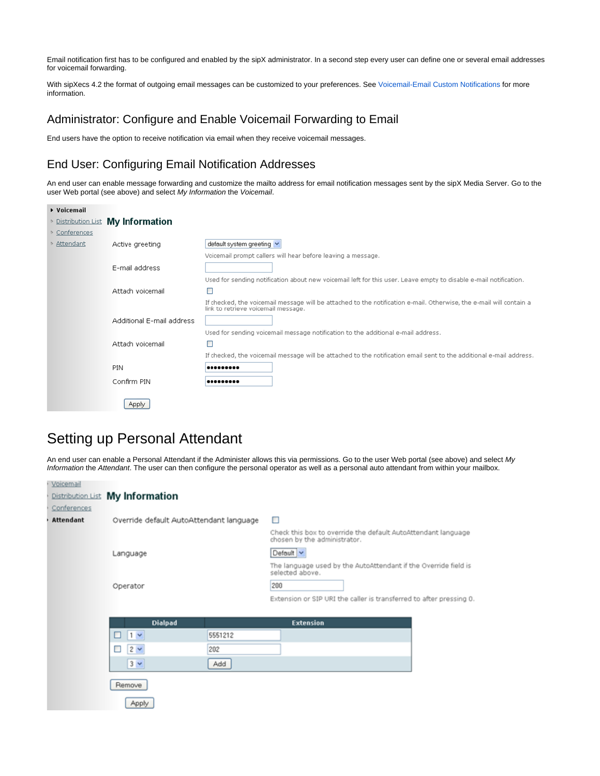Email notification first has to be configured and enabled by the sipX administrator. In a second step every user can define one or several email addresses for voicemail forwarding.

With sipXecs 4.2 the format of outgoing email messages can be customized to your preferences. See [Voicemail-Email Custom Notifications](https://wiki.ezuce.com/display/sipXcom/Voicemail-Email+Custom+Notifications) for more information.

### Administrator: Configure and Enable Voicemail Forwarding to Email

End users have the option to receive notification via email when they receive voicemail messages.

### End User: Configuring Email Notification Addresses

An end user can enable message forwarding and customize the mailto address for email notification messages sent by the sipX Media Server. Go to the user Web portal (see above) and select My Information the Voicemail.

| ▶ Voicemail |                                  |                                                                                                                                                            |
|-------------|----------------------------------|------------------------------------------------------------------------------------------------------------------------------------------------------------|
|             | Distribution List My Information |                                                                                                                                                            |
| Conferences |                                  |                                                                                                                                                            |
| Attendant   | Active greeting                  | default system greeting v                                                                                                                                  |
|             |                                  | Voicemail prompt callers will hear before leaving a message.                                                                                               |
|             | E-mail address                   |                                                                                                                                                            |
|             |                                  | Used for sending notification about new voicemail left for this user. Leave empty to disable e-mail notification.                                          |
|             | Attach voicemail                 |                                                                                                                                                            |
|             |                                  | If checked, the voicemail message will be attached to the notification e-mail. Otherwise, the e-mail will contain a<br>link to retrieve voicemail message. |
|             | Additional E-mail address        |                                                                                                                                                            |
|             |                                  | Used for sending voicemail message notification to the additional e-mail address.                                                                          |
|             | Attach voicemail                 |                                                                                                                                                            |
|             |                                  | If checked, the voicemail message will be attached to the notification email sent to the additional e-mail address.                                        |
|             | PIN                              | .                                                                                                                                                          |
|             | Confirm PIN                      | .                                                                                                                                                          |
|             | Apply                            |                                                                                                                                                            |

# Setting up Personal Attendant

An end user can enable a Personal Attendant if the Administer allows this via permissions. Go to the user Web portal (see above) and select My Information the Attendant. The user can then configure the personal operator as well as a personal auto attendant from within your mailbox.

| Voicemail   |                                         |         |                                                                                               |
|-------------|-----------------------------------------|---------|-----------------------------------------------------------------------------------------------|
|             | Distribution List My Information        |         |                                                                                               |
| Conferences |                                         |         |                                                                                               |
| Attendant   | Override default AutoAttendant language |         | □                                                                                             |
|             |                                         |         | Check this box to override the default AutoAttendant language<br>chosen by the administrator. |
|             | Language                                |         | Default v                                                                                     |
|             |                                         |         | The language used by the AutoAttendant if the Override field is<br>selected above.            |
|             | Operator                                |         | 200                                                                                           |
|             |                                         |         | Extension or SIP URI the caller is transferred to after pressing 0.                           |
|             |                                         |         |                                                                                               |
|             | <b>Dialpad</b>                          |         | <b>Extension</b>                                                                              |
|             | $1 -$                                   | 5551212 |                                                                                               |
|             | $2 -$<br>ш                              | 202     |                                                                                               |
|             | $3 -$                                   | Add     |                                                                                               |
|             | Remove                                  |         |                                                                                               |
|             | Apply                                   |         |                                                                                               |